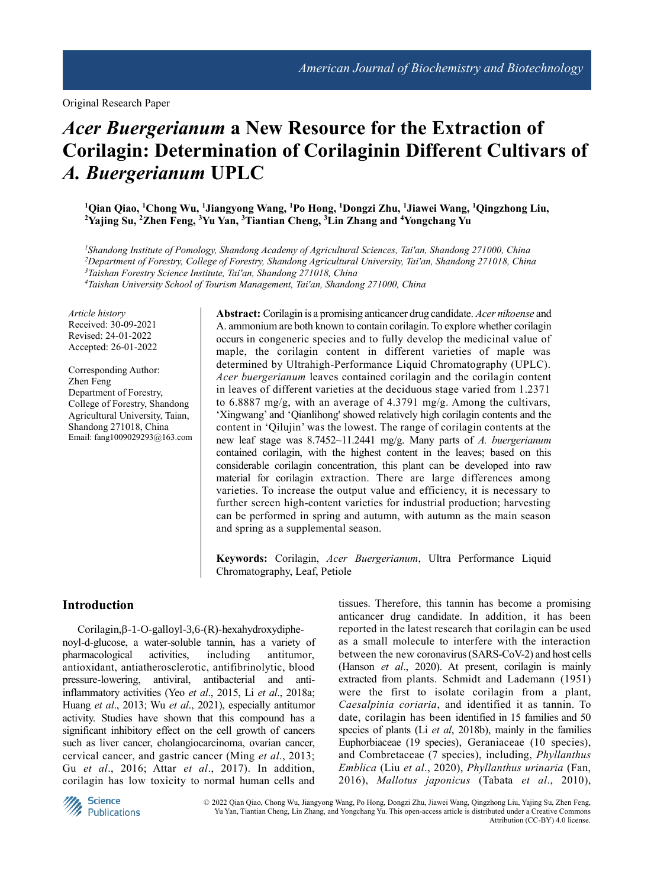Original Research Paper

# *Acer Buergerianum* **a New Resource for the Extraction of Corilagin: Determination of Corilaginin Different Cultivars of**  *A. Buergerianum* **UPLC**

**<sup>1</sup>Qian Qiao, <sup>1</sup>Chong Wu, <sup>1</sup>Jiangyong Wang, <sup>1</sup>Po Hong, <sup>1</sup>Dongzi Zhu, <sup>1</sup>Jiawei Wang, <sup>1</sup>Qingzhong Liu, <sup>2</sup>Yajing Su, <sup>2</sup>Zhen Feng, <sup>3</sup>Yu Yan, <sup>3</sup>Tiantian Cheng, <sup>3</sup>Lin Zhang and <sup>4</sup>Yongchang Yu**

*<sup>1</sup>Shandong Institute of Pomology, Shandong Academy of Agricultural Sciences, Tai′an, Shandong 271000, China <sup>2</sup>Department of Forestry, College of Forestry, Shandong Agricultural University, Tai′an, Shandong 271018, China <sup>3</sup>Taishan Forestry Science Institute, Tai′an, Shandong 271018, China*

*<sup>4</sup>Taishan University School of Tourism Management, Tai′an, Shandong 271000, China*

*Article history* Received: 30-09-2021 Revised: 24-01-2022 Accepted: 26-01-2022

Corresponding Author: Zhen Feng Department of Forestry, College of Forestry, Shandong Agricultural University, Taian, Shandong 271018, China Email: fang1009029293@163.com **Abstract:** Corilagin is a promising anticancer drug candidate. *Acer nikoense* and A. ammonium are both known to contain corilagin. To explore whether corilagin occurs in congeneric species and to fully develop the medicinal value of maple, the corilagin content in different varieties of maple was determined by Ultrahigh-Performance Liquid Chromatography (UPLC). *Acer buergerianum* leaves contained corilagin and the corilagin content in leaves of different varieties at the deciduous stage varied from 1.2371 to 6.8887 mg/g, with an average of 4.3791 mg/g. Among the cultivars, 'Xingwang' and 'Qianlihong' showed relatively high corilagin contents and the content in 'Qilujin' was the lowest. The range of corilagin contents at the new leaf stage was 8.7452~11.2441 mg/g. Many parts of *A. buergerianum* contained corilagin, with the highest content in the leaves; based on this considerable corilagin concentration, this plant can be developed into raw material for corilagin extraction. There are large differences among varieties. To increase the output value and efficiency, it is necessary to further screen high-content varieties for industrial production; harvesting can be performed in spring and autumn, with autumn as the main season and spring as a supplemental season.

**Keywords:** Corilagin, *Acer Buergerianum*, Ultra Performance Liquid Chromatography, Leaf, Petiole

#### **Introduction**

 $Corilagin, \beta-1-O-galloyl-3, 6-(R)$ -hexahydroxydiphenoyl-d-glucose, a water-soluble tannin, has a variety of pharmacological activities, including antitumor, antioxidant, antiatherosclerotic, antifibrinolytic, blood pressure-lowering, antiviral, antibacterial and antiinflammatory activities (Yeo *et al*., 2015, Li *et al*., 2018a; Huang *et al*., 2013; Wu *et al*., 2021), especially antitumor activity. Studies have shown that this compound has a significant inhibitory effect on the cell growth of cancers such as liver cancer, cholangiocarcinoma, ovarian cancer, cervical cancer, and gastric cancer (Ming *et al*., 2013; Gu *et al*., 2016; Attar *et al*., 2017). In addition, corilagin has low toxicity to normal human cells and

tissues. Therefore, this tannin has become a promising anticancer drug candidate. In addition, it has been reported in the latest research that corilagin can be used as a small molecule to interfere with the interaction between the new coronavirus (SARS-CoV-2) and host cells (Hanson *et al*., 2020). At present, corilagin is mainly extracted from plants. Schmidt and Lademann (1951) were the first to isolate corilagin from a plant, *Caesalpinia coriaria*, and identified it as tannin. To date, corilagin has been identified in 15 families and 50 species of plants (Li *et al*, 2018b), mainly in the families Euphorbiaceae (19 species), Geraniaceae (10 species), and Combretaceae (7 species), including, *Phyllanthus Emblica* (Liu *et al*., 2020), *Phyllanthus urinaria* (Fan, 2016), *Mallotus japonicus* (Tabata *et al*., 2010),



© 2022 Qian Qiao, Chong Wu, Jiangyong Wang, Po Hong, Dongzi Zhu, Jiawei Wang, Qingzhong Liu, Yajing Su, Zhen Feng, Yu Yan, Tiantian Cheng, Lin Zhang, and Yongchang Yu. This open-access article is distributed under a Creative Commons Attribution (CC-BY) 4.0 license.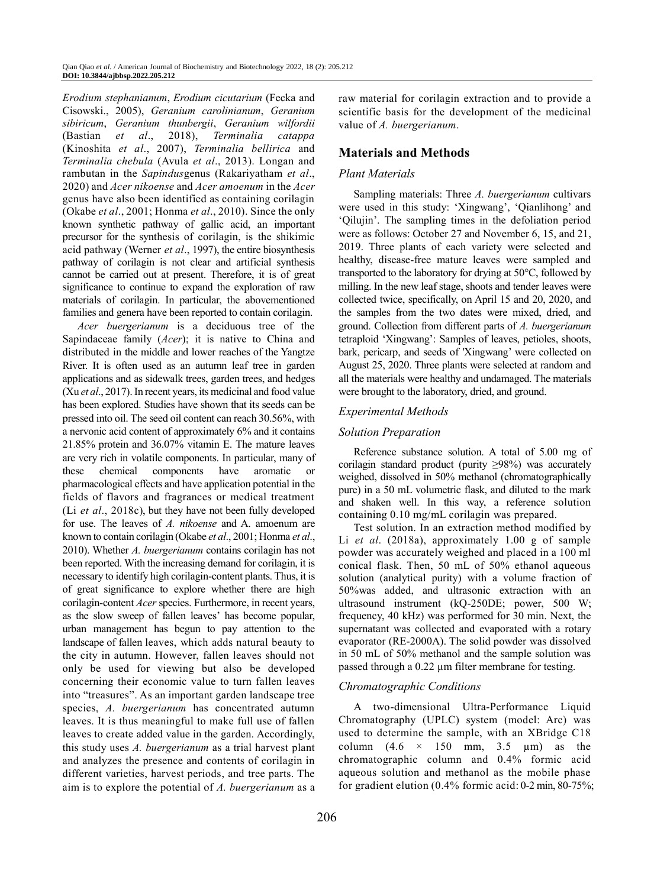*Erodium stephanianum*, *Erodium cicutarium* (Fecka and Cisowski., 2005), *Geranium carolinianum*, *Geranium sibiricum*, *Geranium thunbergii*, *Geranium wilfordii* (Bastian *et al*., 2018), *Terminalia catappa*  (Kinoshita *et al*., 2007), *Terminalia bellirica* and *Terminalia chebula* (Avula *et al*., 2013). Longan and rambutan in the *Sapindus*genus (Rakariyatham *et al*., 2020) and *Acer nikoense* and *Acer amoenum* in the *Acer* genus have also been identified as containing corilagin (Okabe *et al*., 2001; Honma *et al*., 2010). Since the only known synthetic pathway of gallic acid, an important precursor for the synthesis of corilagin, is the shikimic acid pathway (Werner *et al*., 1997), the entire biosynthesis pathway of corilagin is not clear and artificial synthesis cannot be carried out at present. Therefore, it is of great significance to continue to expand the exploration of raw materials of corilagin. In particular, the abovementioned families and genera have been reported to contain corilagin.

*Acer buergerianum* is a deciduous tree of the Sapindaceae family (*Acer*); it is native to China and distributed in the middle and lower reaches of the Yangtze River. It is often used as an autumn leaf tree in garden applications and as sidewalk trees, garden trees, and hedges (Xu *et al*., 2017). In recent years, its medicinal and food value has been explored. Studies have shown that its seeds can be pressed into oil. The seed oil content can reach 30.56%, with a nervonic acid content of approximately 6% and it contains 21.85% protein and 36.07% vitamin E. The mature leaves are very rich in volatile components. In particular, many of these chemical components have aromatic or pharmacological effects and have application potential in the fields of flavors and fragrances or medical treatment (Li *et al*., 2018c), but they have not been fully developed for use. The leaves of *A. nikoense* and A. amoenum are known to contain corilagin (Okabe *et al*., 2001; Honma *et al*., 2010). Whether *A. buergerianum* contains corilagin has not been reported. With the increasing demand for corilagin, it is necessary to identify high corilagin-content plants. Thus, it is of great significance to explore whether there are high corilagin-content *Acer* species. Furthermore, in recent years, as the slow sweep of fallen leaves' has become popular, urban management has begun to pay attention to the landscape of fallen leaves, which adds natural beauty to the city in autumn. However, fallen leaves should not only be used for viewing but also be developed concerning their economic value to turn fallen leaves into "treasures". As an important garden landscape tree species, *A. buergerianum* has concentrated autumn leaves. It is thus meaningful to make full use of fallen leaves to create added value in the garden. Accordingly, this study uses *A. buergerianum* as a trial harvest plant and analyzes the presence and contents of corilagin in different varieties, harvest periods, and tree parts. The aim is to explore the potential of *A. buergerianum* as a

raw material for corilagin extraction and to provide a scientific basis for the development of the medicinal value of *A. buergerianum*.

# **Materials and Methods**

## *Plant Materials*

Sampling materials: Three *A. buergerianum* cultivars were used in this study: 'Xingwang', 'Qianlihong' and 'Qilujin'. The sampling times in the defoliation period were as follows: October 27 and November 6, 15, and 21, 2019. Three plants of each variety were selected and healthy, disease-free mature leaves were sampled and transported to the laboratory for drying at 50°C, followed by milling. In the new leaf stage, shoots and tender leaves were collected twice, specifically, on April 15 and 20, 2020, and the samples from the two dates were mixed, dried, and ground. Collection from different parts of *A. buergerianum* tetraploid 'Xingwang': Samples of leaves, petioles, shoots, bark, pericarp, and seeds of 'Xingwang' were collected on August 25, 2020. Three plants were selected at random and all the materials were healthy and undamaged. The materials were brought to the laboratory, dried, and ground.

# *Experimental Methods*

## *Solution Preparation*

Reference substance solution. A total of 5.00 mg of corilagin standard product (purity ≥98%) was accurately weighed, dissolved in 50% methanol (chromatographically pure) in a 50 mL volumetric flask, and diluted to the mark and shaken well. In this way, a reference solution containing 0.10 mg/mL corilagin was prepared.

Test solution. In an extraction method modified by Li *et al*. (2018a), approximately 1.00 g of sample powder was accurately weighed and placed in a 100 ml conical flask. Then, 50 mL of 50% ethanol aqueous solution (analytical purity) with a volume fraction of 50%was added, and ultrasonic extraction with an ultrasound instrument (kQ-250DE; power, 500 W; frequency, 40 kHz) was performed for 30 min. Next, the supernatant was collected and evaporated with a rotary evaporator (RE-2000A). The solid powder was dissolved in 50 mL of 50% methanol and the sample solution was passed through a 0.22 µm filter membrane for testing.

## *Chromatographic Conditions*

A two-dimensional Ultra-Performance Liquid Chromatography (UPLC) system (model: Arc) was used to determine the sample, with an XBridge C18 column  $(4.6 \times 150 \text{ mm}, 3.5 \text{ \mu m})$  as the chromatographic column and 0.4% formic acid aqueous solution and methanol as the mobile phase for gradient elution (0.4% formic acid: 0-2 min, 80-75%;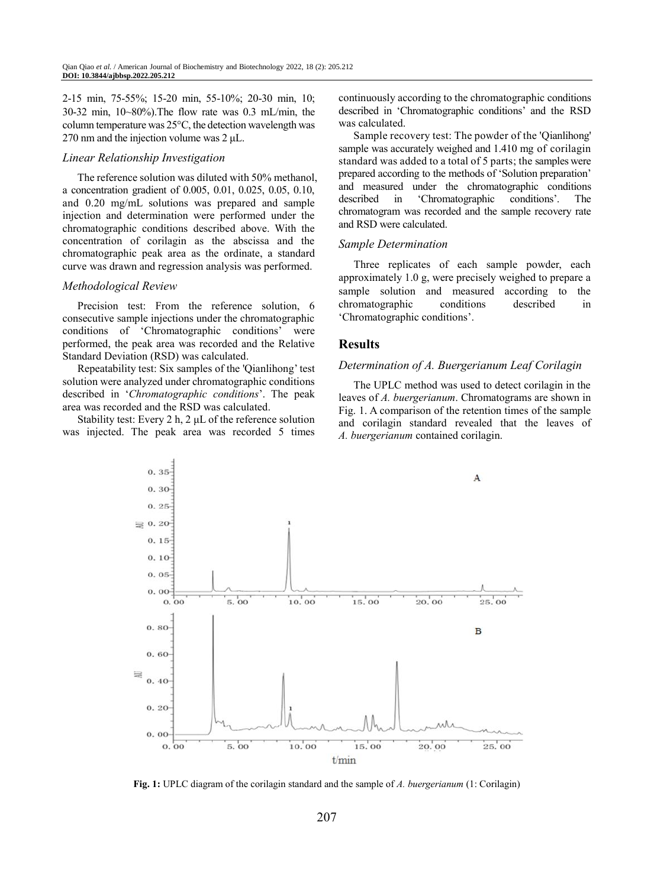2-15 min, 75-55%; 15-20 min, 55-10%; 20-30 min, 10; 30-32 min, 10~80%).The flow rate was 0.3 mL/min, the column temperature was 25°C, the detection wavelength was 270 nm and the injection volume was  $2 \mu L$ .

#### *Linear Relationship Investigation*

The reference solution was diluted with 50% methanol, a concentration gradient of 0.005, 0.01, 0.025, 0.05, 0.10, and 0.20 mg/mL solutions was prepared and sample injection and determination were performed under the chromatographic conditions described above. With the concentration of corilagin as the abscissa and the chromatographic peak area as the ordinate, a standard curve was drawn and regression analysis was performed.

#### *Methodological Review*

Precision test: From the reference solution, 6 consecutive sample injections under the chromatographic conditions of 'Chromatographic conditions' were performed, the peak area was recorded and the Relative Standard Deviation (RSD) was calculated.

Repeatability test: Six samples of the 'Qianlihong' test solution were analyzed under chromatographic conditions described in '*Chromatographic conditions*'. The peak area was recorded and the RSD was calculated.

Stability test: Every 2 h, 2 μL of the reference solution was injected. The peak area was recorded 5 times

continuously according to the chromatographic conditions described in 'Chromatographic conditions' and the RSD was calculated.

Sample recovery test: The powder of the 'Qianlihong' sample was accurately weighed and 1.410 mg of corilagin standard was added to a total of 5 parts; the samples were prepared according to the methods of 'Solution preparation' and measured under the chromatographic conditions described in 'Chromatographic conditions'. The chromatogram was recorded and the sample recovery rate and RSD were calculated.

#### *Sample Determination*

Three replicates of each sample powder, each approximately 1.0 g, were precisely weighed to prepare a sample solution and measured according to the chromatographic conditions described in 'Chromatographic conditions'.

#### **Results**

#### *Determination of A. Buergerianum Leaf Corilagin*

The UPLC method was used to detect corilagin in the leaves of *A. buergerianum*. Chromatograms are shown in Fig. 1. A comparison of the retention times of the sample and corilagin standard revealed that the leaves of *A. buergerianum* contained corilagin.



**Fig. 1:** UPLC diagram of the corilagin standard and the sample of *A. buergerianum* (1: Corilagin)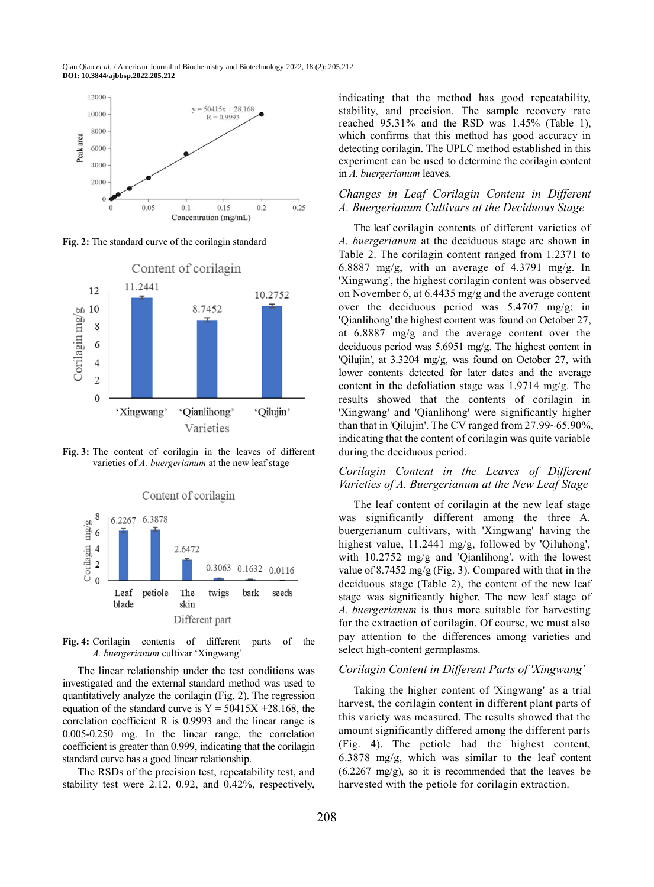

**Fig. 2:** The standard curve of the corilagin standard



**Fig. 3:** The content of corilagin in the leaves of different varieties of *A. buergerianum* at the new leaf stage



**Fig. 4:** Corilagin contents of different parts of the *A. buergerianum* cultivar 'Xingwang'

The linear relationship under the test conditions was investigated and the external standard method was used to quantitatively analyze the corilagin (Fig. 2). The regression equation of the standard curve is  $Y = 50415X + 28.168$ , the correlation coefficient R is 0.9993 and the linear range is 0.005-0.250 mg. In the linear range, the correlation coefficient is greater than 0.999, indicating that the corilagin standard curve has a good linear relationship.

The RSDs of the precision test, repeatability test, and stability test were 2.12, 0.92, and 0.42%, respectively, indicating that the method has good repeatability, stability, and precision. The sample recovery rate reached 95.31% and the RSD was 1.45% (Table 1), which confirms that this method has good accuracy in detecting corilagin. The UPLC method established in this experiment can be used to determine the corilagin content in *A. buergerianum* leaves.

## *Changes in Leaf Corilagin Content in Different A. Buergerianum Cultivars at the Deciduous Stage*

The leaf corilagin contents of different varieties of *A. buergerianum* at the deciduous stage are shown in Table 2. The corilagin content ranged from 1.2371 to 6.8887 mg/g, with an average of 4.3791 mg/g. In 'Xingwang', the highest corilagin content was observed on November 6, at 6.4435 mg/g and the average content over the deciduous period was 5.4707 mg/g; in 'Qianlihong' the highest content was found on October 27, at 6.8887 mg/g and the average content over the deciduous period was 5.6951 mg/g. The highest content in 'Qilujin', at 3.3204 mg/g, was found on October 27, with lower contents detected for later dates and the average content in the defoliation stage was 1.9714 mg/g. The results showed that the contents of corilagin in 'Xingwang' and 'Qianlihong' were significantly higher than that in 'Qilujin'. The CV ranged from 27.99~65.90%, indicating that the content of corilagin was quite variable during the deciduous period.

#### *Corilagin Content in the Leaves of Different Varieties of A. Buergerianum at the New Leaf Stage*

The leaf content of corilagin at the new leaf stage was significantly different among the three A. buergerianum cultivars, with 'Xingwang' having the highest value, 11.2441 mg/g, followed by 'Qiluhong', with 10.2752 mg/g and 'Qianlihong', with the lowest value of 8.7452 mg/g (Fig. 3). Compared with that in the deciduous stage (Table 2), the content of the new leaf stage was significantly higher. The new leaf stage of *A. buergerianum* is thus more suitable for harvesting for the extraction of corilagin. Of course, we must also pay attention to the differences among varieties and select high-content germplasms.

## *Corilagin Content in Different Parts of 'Xingwang'*

Taking the higher content of 'Xingwang' as a trial harvest, the corilagin content in different plant parts of this variety was measured. The results showed that the amount significantly differed among the different parts (Fig. 4). The petiole had the highest content, 6.3878 mg/g, which was similar to the leaf content  $(6.2267 \text{ mg/g})$ , so it is recommended that the leaves be harvested with the petiole for corilagin extraction.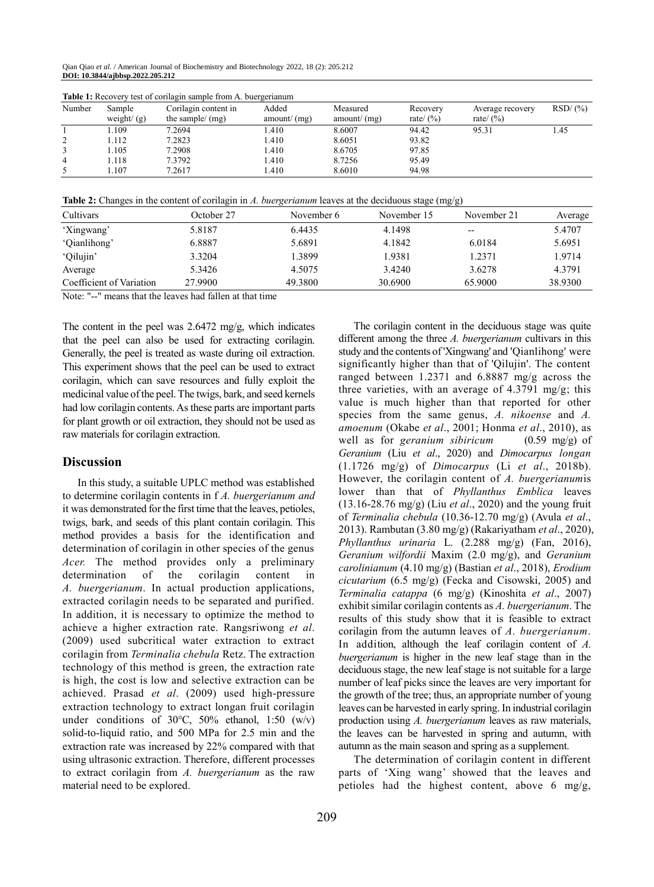Qian Qiao *et al*. / American Journal of Biochemistry and Biotechnology 2022, 18 (2): 205.212 **DOI: 10.3844/ajbbsp.2022.205.212**

| Number | Sample<br>weight/ $(g)$ | Corilagin content in<br>the sample/ $(mg)$ | Added<br>amount/(mg) | Measured<br>amount/(mg) | Recovery<br>rate/ $(\%)$ | Average recovery<br>rate/ $(\%)$ | RSD/(%) |
|--------|-------------------------|--------------------------------------------|----------------------|-------------------------|--------------------------|----------------------------------|---------|
|        | 1.109                   | 7.2694                                     | l.410                | 8.6007                  | 94.42                    | 95.31                            | 1.45    |
| 2      | 1.112                   | 7.2823                                     | 1.410                | 8.6051                  | 93.82                    |                                  |         |
|        | 1.105                   | 7.2908                                     | l.410                | 8.6705                  | 97.85                    |                                  |         |
| 4      | 1.118                   | 7.3792                                     | 1.410                | 8.7256                  | 95.49                    |                                  |         |
|        | l.107                   | 7.2617                                     | .410                 | 8.6010                  | 94.98                    |                                  |         |

**Table 1:** Recovery test of corilagin sample from A. buergerianum

**Table 2:** Changes in the content of corilagin in *A. buergerianum* leaves at the deciduous stage (mg/g)

| Cultivars                | October 27 | November 6 | November 15 | November 21 | Average |
|--------------------------|------------|------------|-------------|-------------|---------|
| 'Xingwang'               | 5.8187     | 6.4435     | 4.1498      | $- -$       | 5.4707  |
| 'Qianlihong'             | 6.8887     | 5.6891     | 4.1842      | 6.0184      | 5.6951  |
| 'Qilujin'                | 3.3204     | 1.3899     | 1.9381      | 1.2371      | 1.9714  |
| Average                  | 5.3426     | 4.5075     | 3.4240      | 3.6278      | 4.3791  |
| Coefficient of Variation | 27.9900    | 49.3800    | 30.6900     | 65.9000     | 38.9300 |

Note: "--" means that the leaves had fallen at that time

The content in the peel was 2.6472 mg/g, which indicates that the peel can also be used for extracting corilagin. Generally, the peel is treated as waste during oil extraction. This experiment shows that the peel can be used to extract corilagin, which can save resources and fully exploit the medicinal value of the peel. The twigs, bark, and seed kernels had low corilagin contents. As these parts are important parts for plant growth or oil extraction, they should not be used as raw materials for corilagin extraction.

#### **Discussion**

In this study, a suitable UPLC method was established to determine corilagin contents in f *A. buergerianum and* it was demonstrated for the first time that the leaves, petioles, twigs, bark, and seeds of this plant contain corilagin. This method provides a basis for the identification and determination of corilagin in other species of the genus *Acer.* The method provides only a preliminary determination of the corilagin content in *A. buergerianum*. In actual production applications, extracted corilagin needs to be separated and purified. In addition, it is necessary to optimize the method to achieve a higher extraction rate. Rangsriwong *et al*. (2009) used subcritical water extraction to extract corilagin from *Terminalia chebula* Retz. The extraction technology of this method is green, the extraction rate is high, the cost is low and selective extraction can be achieved. Prasad *et al*. (2009) used high-pressure extraction technology to extract longan fruit corilagin under conditions of 30℃, 50% ethanol, 1:50 (w/v) solid-to-liquid ratio, and 500 MPa for 2.5 min and the extraction rate was increased by 22% compared with that using ultrasonic extraction. Therefore, different processes to extract corilagin from *A. buergerianum* as the raw material need to be explored.

The corilagin content in the deciduous stage was quite different among the three *A. buergerianum* cultivars in this study and the contents of 'Xingwang' and 'Qianlihong' were significantly higher than that of 'Qilujin'. The content ranged between 1.2371 and 6.8887 mg/g across the three varieties, with an average of  $4.3791$  mg/g; this value is much higher than that reported for other species from the same genus, *A. nikoense* and *A. amoenum* (Okabe *et al*., 2001; Honma *et al*., 2010), as well as for *geranium sibiricum* (0.59 mg/g) of *Geranium* (Liu *et al*., 2020) and *Dimocarpus longan* (1.1726 mg/g) of *Dimocarpus* (Li *et al*., 2018b). However, the corilagin content of *A. buergerianum*is lower than that of *Phyllanthus Emblica* leaves (13.16-28.76 mg/g) (Liu *et al*., 2020) and the young fruit of *Terminalia chebula* (10.36-12.70 mg/g) (Avula *et al*., 2013). Rambutan (3.80 mg/g) (Rakariyatham *et al*., 2020), *Phyllanthus urinaria* L. (2.288 mg/g) (Fan, 2016), *Geranium wilfordii* Maxim (2.0 mg/g), and *Geranium carolinianum* (4.10 mg/g) (Bastian *et al*., 2018), *Erodium cicutarium* (6.5 mg/g) (Fecka and Cisowski, 2005) and *Terminalia catappa* (6 mg/g) (Kinoshita *et al*., 2007) exhibit similar corilagin contents as *A. buergerianum*. The results of this study show that it is feasible to extract corilagin from the autumn leaves of *A. buergerianum*. In addition, although the leaf corilagin content of *A. buergerianum* is higher in the new leaf stage than in the deciduous stage, the new leaf stage is not suitable for a large number of leaf picks since the leaves are very important for the growth of the tree; thus, an appropriate number of young leaves can be harvested in early spring. In industrial corilagin production using *A. buergerianum* leaves as raw materials, the leaves can be harvested in spring and autumn, with autumn as the main season and spring as a supplement.

The determination of corilagin content in different parts of 'Xing wang' showed that the leaves and petioles had the highest content, above 6 mg/g,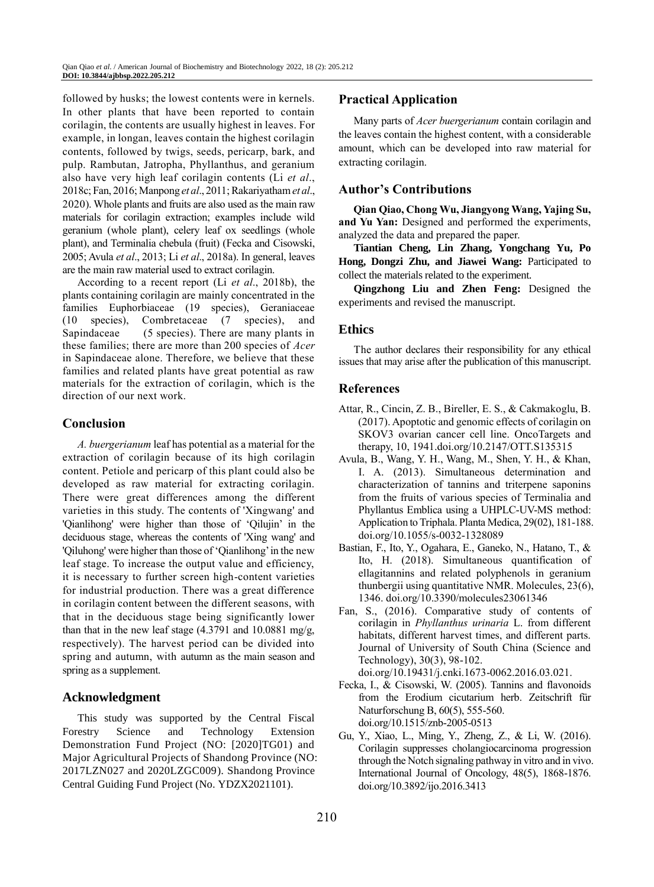followed by husks; the lowest contents were in kernels. In other plants that have been reported to contain corilagin, the contents are usually highest in leaves. For example, in longan, leaves contain the highest corilagin contents, followed by twigs, seeds, pericarp, bark, and pulp. Rambutan, Jatropha, Phyllanthus, and geranium also have very high leaf corilagin contents (Li *et al*., 2018c; Fan, 2016; Manpong *et al*., 2011; Rakariyatham *et al*., 2020). Whole plants and fruits are also used as the main raw materials for corilagin extraction; examples include wild geranium (whole plant), celery leaf ox seedlings (whole plant), and Terminalia chebula (fruit) (Fecka and Cisowski, 2005; Avula *et al*., 2013; Li *et al*., 2018a). In general, leaves are the main raw material used to extract corilagin.

According to a recent report (Li *et al*., 2018b), the plants containing corilagin are mainly concentrated in the families Euphorbiaceae (19 species), Geraniaceae (10 species), Combretaceae (7 species), and Sapindaceae (5 species). There are many plants in these families; there are more than 200 species of *Acer* in Sapindaceae alone. Therefore, we believe that these families and related plants have great potential as raw materials for the extraction of corilagin, which is the direction of our next work.

# **Conclusion**

*A. buergerianum* leaf has potential as a material for the extraction of corilagin because of its high corilagin content. Petiole and pericarp of this plant could also be developed as raw material for extracting corilagin. There were great differences among the different varieties in this study. The contents of 'Xingwang' and 'Qianlihong' were higher than those of 'Qilujin' in the deciduous stage, whereas the contents of 'Xing wang' and 'Qiluhong' were higher than those of 'Qianlihong' in the new leaf stage. To increase the output value and efficiency, it is necessary to further screen high-content varieties for industrial production. There was a great difference in corilagin content between the different seasons, with that in the deciduous stage being significantly lower than that in the new leaf stage  $(4.3791$  and  $10.0881$  mg/g, respectively). The harvest period can be divided into spring and autumn, with autumn as the main season and spring as a supplement.

## **Acknowledgment**

This study was supported by the Central Fiscal Forestry Science and Technology Extension Demonstration Fund Project (NO: [2020]TG01) and Major Agricultural Projects of Shandong Province (NO: 2017LZN027 and 2020LZGC009). Shandong Province Central Guiding Fund Project (No. YDZX2021101).

# **Practical Application**

Many parts of *Acer buergerianum* contain corilagin and the leaves contain the highest content, with a considerable amount, which can be developed into raw material for extracting corilagin.

# **Author's Contributions**

**Qian Qiao, Chong Wu, Jiangyong Wang, Yajing Su, and Yu Yan:** Designed and performed the experiments, analyzed the data and prepared the paper.

**Tiantian Cheng, Lin Zhang, Yongchang Yu, Po**  Hong, Dongzi Zhu, and Jiawei Wang: Participated to collect the materials related to the experiment.

**Qingzhong Liu and Zhen Feng:** Designed the experiments and revised the manuscript.

# **Ethics**

The author declares their responsibility for any ethical issues that may arise after the publication of this manuscript.

## **References**

- Attar, R., Cincin, Z. B., Bireller, E. S., & Cakmakoglu, B. (2017). Apoptotic and genomic effects of corilagin on SKOV3 ovarian cancer cell line. OncoTargets and therapy, 10, 1941.doi.org/10.2147/OTT.S135315
- Avula, B., Wang, Y. H., Wang, M., Shen, Y. H., & Khan, I. A. (2013). Simultaneous determination and characterization of tannins and triterpene saponins from the fruits of various species of Terminalia and Phyllantus Emblica using a UHPLC-UV-MS method: Application to Triphala. Planta Medica, 29(02), 181-188. doi.org/10.1055/s-0032-1328089
- Bastian, F., Ito, Y., Ogahara, E., Ganeko, N., Hatano, T., & Ito, H. (2018). Simultaneous quantification of ellagitannins and related polyphenols in geranium thunbergii using quantitative NMR. Molecules, 23(6), 1346. doi.org/10.3390/molecules23061346
- Fan, S., (2016). Comparative study of contents of corilagin in *Phyllanthus urinaria* L. from different habitats, different harvest times, and different parts. Journal of University of South China (Science and Technology), 30(3), 98-102. doi.org/10.19431/j.cnki.1673-0062.2016.03.021.
- Fecka, I., & Cisowski, W. (2005). Tannins and flavonoids from the Erodium cicutarium herb. Zeitschrift für Naturforschung B, 60(5), 555-560. doi.org/10.1515/znb-2005-0513
- Gu, Y., Xiao, L., Ming, Y., Zheng, Z., & Li, W. (2016). Corilagin suppresses cholangiocarcinoma progression through the Notch signaling pathway in vitro and in vivo. International Journal of Oncology, 48(5), 1868-1876. doi.org/10.3892/ijo.2016.3413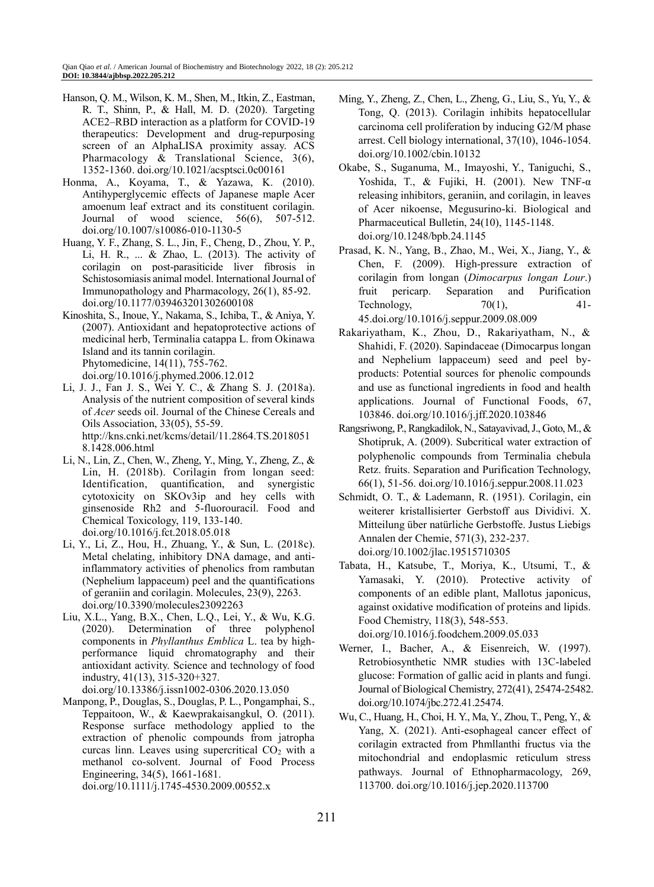- Hanson, Q. M., Wilson, K. M., Shen, M., Itkin, Z., Eastman, R. T., Shinn, P., & Hall, M. D. (2020). Targeting ACE2–RBD interaction as a platform for COVID-19 therapeutics: Development and drug-repurposing screen of an AlphaLISA proximity assay. ACS Pharmacology & Translational Science, 3(6), 1352-1360. doi.org/10.1021/acsptsci.0c00161
- Honma, A., Koyama, T., & Yazawa, K. (2010). Antihyperglycemic effects of Japanese maple Acer amoenum leaf extract and its constituent corilagin. Journal of wood science, 56(6), 507-512. doi.org/10.1007/s10086-010-1130-5
- Huang, Y. F., Zhang, S. L., Jin, F., Cheng, D., Zhou, Y. P., Li, H. R., ... & Zhao, L. (2013). The activity of corilagin on post-parasiticide liver fibrosis in Schistosomiasis animal model. International Journal of Immunopathology and Pharmacology, 26(1), 85-92. doi.org/10.1177/039463201302600108
- Kinoshita, S., Inoue, Y., Nakama, S., Ichiba, T., & Aniya, Y. (2007). Antioxidant and hepatoprotective actions of medicinal herb, Terminalia catappa L. from Okinawa Island and its tannin corilagin. Phytomedicine, 14(11), 755-762. doi.org/10.1016/j.phymed.2006.12.012
- Li, J. J., Fan J. S., Wei Y. C., & Zhang S. J. (2018a). Analysis of the nutrient composition of several kinds of *Acer* seeds oil. Journal of the Chinese Cereals and Oils Association, 33(05), 55-59. http://kns.cnki.net/kcms/detail/11.2864.TS.2018051 8.1428.006.html
- Li, N., Lin, Z., Chen, W., Zheng, Y., Ming, Y., Zheng, Z., & Lin, H. (2018b). Corilagin from longan seed: Identification, quantification, and synergistic cytotoxicity on SKOv3ip and hey cells with ginsenoside Rh2 and 5-fluorouracil. Food and Chemical Toxicology, 119, 133-140. doi.org/10.1016/j.fct.2018.05.018
- Li, Y., Li, Z., Hou, H., Zhuang, Y., & Sun, L. (2018c). Metal chelating, inhibitory DNA damage, and antiinflammatory activities of phenolics from rambutan (Nephelium lappaceum) peel and the quantifications of geraniin and corilagin. Molecules, 23(9), 2263. doi.org/10.3390/molecules23092263
- Liu, X.L., Yang, B.X., Chen, L.Q., Lei, Y., & Wu, K.G. (2020). Determination of three polyphenol components in *Phyllanthus Emblica* L. tea by highperformance liquid chromatography and their antioxidant activity. Science and technology of food industry, 41(13), 315-320+327. doi.org/10.13386/j.issn1002-0306.2020.13.050
- Manpong, P., Douglas, S., Douglas, P. L., Pongamphai, S., Teppaitoon, W., & Kaewprakaisangkul, O. (2011). Response surface methodology applied to the extraction of phenolic compounds from jatropha curcas linn. Leaves using supercritical  $CO<sub>2</sub>$  with a methanol co‐solvent. Journal of Food Process Engineering, 34(5), 1661-1681.

doi.org/10.1111/j.1745-4530.2009.00552.x

- Ming, Y., Zheng, Z., Chen, L., Zheng, G., Liu, S., Yu, Y., & Tong, Q. (2013). Corilagin inhibits hepatocellular carcinoma cell proliferation by inducing G2/M phase arrest. Cell biology international, 37(10), 1046-1054. doi.org/10.1002/cbin.10132
- Okabe, S., Suganuma, M., Imayoshi, Y., Taniguchi, S., Yoshida, T., & Fujiki, H. (2001). New TNF- $\alpha$ releasing inhibitors, geraniin, and corilagin, in leaves of Acer nikoense, Megusurino-ki. Biological and Pharmaceutical Bulletin, 24(10), 1145-1148. doi.org/10.1248/bpb.24.1145
- Prasad, K. N., Yang, B., Zhao, M., Wei, X., Jiang, Y., & Chen, F. (2009). High-pressure extraction of corilagin from longan (*Dimocarpus longan Lour*.) fruit pericarp. Separation and Purification Technology,  $70(1)$ ,  $41-$ 45.doi.org/10.1016/j.seppur.2009.08.009
- Rakariyatham, K., Zhou, D., Rakariyatham, N., & Shahidi, F. (2020). Sapindaceae (Dimocarpus longan and Nephelium lappaceum) seed and peel byproducts: Potential sources for phenolic compounds and use as functional ingredients in food and health applications. Journal of Functional Foods, 67, 103846. doi.org/10.1016/j.jff.2020.103846
- Rangsriwong, P., Rangkadilok, N., Satayavivad, J., Goto, M., & Shotipruk, A. (2009). Subcritical water extraction of polyphenolic compounds from Terminalia chebula Retz. fruits. Separation and Purification Technology, 66(1), 51-56. doi.org/10.1016/j.seppur.2008.11.023
- Schmidt, O. T., & Lademann, R. (1951). Corilagin, ein weiterer kristallisierter Gerbstoff aus Dividivi. X. Mitteilung über natürliche Gerbstoffe. Justus Liebigs Annalen der Chemie, 571(3), 232-237. doi.org/10.1002/jlac.19515710305
- Tabata, H., Katsube, T., Moriya, K., Utsumi, T., & Yamasaki, Y. (2010). Protective activity of components of an edible plant, Mallotus japonicus, against oxidative modification of proteins and lipids. Food Chemistry, 118(3), 548-553. doi.org/10.1016/j.foodchem.2009.05.033
- Werner, I., Bacher, A., & Eisenreich, W. (1997). Retrobiosynthetic NMR studies with 13C-labeled glucose: Formation of gallic acid in plants and fungi. Journal of Biological Chemistry, 272(41), 25474-25482. doi.org/10.1074/jbc.272.41.25474.
- Wu, C., Huang, H., Choi, H. Y., Ma, Y., Zhou, T., Peng, Y., & Yang, X. (2021). Anti-esophageal cancer effect of corilagin extracted from Phmllanthi fructus via the mitochondrial and endoplasmic reticulum stress pathways. Journal of Ethnopharmacology, 269, 113700. doi.org/10.1016/j.jep.2020.113700